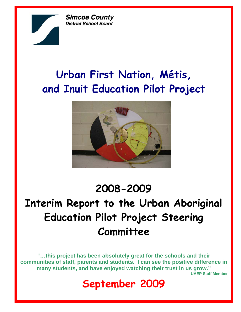**Simcoe County District School Board** 

# **Urban First Nation, Métis, and Inuit Education Pilot Project**



# **2008-2009**

# **Interim Report to the Urban Aboriginal Education Pilot Project Steering Committee**

**"…this project has been absolutely great for the schools and their communities of staff, parents and students. I can see the positive difference in many students, and have enjoyed watching their trust in us grow." UAEP Staff Member** 

# **September 2009**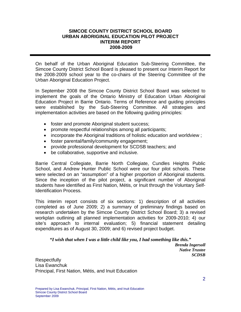#### **SIMCOE COUNTY DISTRICT SCHOOL BOARD URBAN ABORIGINAL EDUCATION PILOT PROJECT INTERIM REPORT 2008-2009**

On behalf of the Urban Aboriginal Education Sub-Steering Committee, the Simcoe County District School Board is pleased to present our Interim Report for the 2008-2009 school year to the co-chairs of the Steering Committee of the Urban Aboriginal Education Project.

In September 2008 the Simcoe County District School Board was selected to implement the goals of the Ontario Ministry of Education Urban Aboriginal Education Project in Barrie Ontario. Terms of Reference and guiding principles were established by the Sub-Steering Committee. All strategies and implementation activities are based on the following guiding principles:

- foster and promote Aboriginal student success;
- promote respectful relationships among all participants;
- incorporate the Aboriginal traditions of holistic education and worldview ;
- foster parental/family/community engagement;
- provide professional development for SCDSB teachers; and
- be collaborative, supportive and inclusive.

Barrie Central Collegiate, Barrie North Collegiate, Cundles Heights Public School, and Andrew Hunter Public School were our four pilot schools. These were selected on an "assumption" of a higher proportion of Aboriginal students. Since the inception of the pilot project, a significant number of Aboriginal students have identified as First Nation, Métis, or Inuit through the Voluntary Self-Identification Process.

This interim report consists of six sections: 1) description of all activities completed as of June 2009; 2) a summary of preliminary findings based on research undertaken by the Simcoe County District School Board; 3) a revised workplan outlining all planned implementation activities for 2009-2010; 4) our site's approach to internal evaluation; 5) financial statement detailing expenditures as of August 30, 2009; and 6) revised project budget.

*"I wish that when I was a little child like you, I had something like this." Brenda Ingersoll Native Trustee SCDSB* 

**Respectfully** Lisa Ewanchuk Principal, First Nation, Métis, and Inuit Education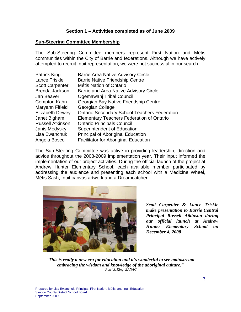#### **Section 1 – Activities completed as of June 2009**

#### **Sub-Steering Committee Membership**

The Sub-Steering Committee members represent First Nation and Métis communities within the City of Barrie and federations. Although we have actively attempted to recruit Inuit representation, we were not successful in our search.

| <b>Patrick King</b>     | <b>Barrie Area Native Advisory Circle</b>           |
|-------------------------|-----------------------------------------------------|
| Lance Triskle           | <b>Barrie Native Friendship Centre</b>              |
| <b>Scott Carpenter</b>  | <b>Métis Nation of Ontario</b>                      |
| Brenda Jackson          | Barrie and Area Native Advisory Circle              |
| Jan Beaver              | Ogemawahj Tribal Council                            |
| Compton Kahn            | Georgian Bay Native Friendship Centre               |
| Maryann Fifield         | Georgian College                                    |
| <b>Elizabeth Dewey</b>  | <b>Ontario Secondary School Teachers Federation</b> |
| Janet Bigham            | <b>Elementary Teachers Federation of Ontario</b>    |
| <b>Russell Atkinson</b> | <b>Ontario Principals Council</b>                   |
| Janis Medysky           | Superintendent of Education                         |
| Lisa Ewanchuk           | <b>Principal of Aboriginal Education</b>            |
| Angela Bosco            | <b>Facilitator for Aboriginal Education</b>         |

The Sub-Steering Committee was active in providing leadership, direction and advice throughout the 2008-2009 implementation year. Their input informed the implementation of our project activities. During the official launch of the project at Andrew Hunter Elementary School, each available member participated by addressing the audience and presenting each school with a Medicine Wheel, Métis Sash, Inuit canvas artwork and a Dreamcatcher.



*Scott Carpenter & Lance Triskle make presentation to Barrie Central Principal Russell Atkinson during our official launch at Andrew Hunter Elementary School on December 4, 2008* 

*"This is really a new era for education and it's wonderful to see mainstream embracing the wisdom and knowledge of the aboriginal culture." Patrick King, BANAC*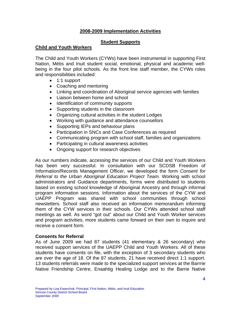#### **2008-2009 Implementation Activities**

#### **Student Supports**

#### **Child and Youth Workers**

The Child and Youth Workers (CYWs) have been instrumental in supporting First Nation, Métis and Inuit student social, emotional, physical and academic wellbeing in the four pilot schools. As the front line staff member, the CYWs roles and responsibilities included:

- 1:1 support
- Coaching and mentoring
- Linking and coordination of Aboriginal service agencies with families
- Liaison between home and school
- Identification of community supports
- Supporting students in the classroom
- Organizing cultural activities in the student Lodges
- Working with guidance and attendance counsellors
- Supporting IEPs and behaviour plans
- Participation in SNCs and Case Conferences as required
- Communicating program with school staff, families and organizations
- Participating in cultural awareness activities
- Ongoing support for research objectives

As our numbers indicate, accessing the services of our Child and Youth Workers has been very successful. In consultation with our SCDSB Freedom of Information/Records Management Officer, we developed the form *Consent for Referral to the Urban Aboriginal Education Project Team.* Working with school administrators and Guidance departments, forms were distributed to students based on existing school knowledge of Aboriginal Ancestry and through informal program information sessions. Information about the services of the CYW and UAEPP Program was shared with school communities through school newsletters. School staff also received an information memorandum informing them of the CYW services in their schools. Our CYWs attended school staff meetings as well. As word "got out" about our Child and Youth Worker services and program activities, more students came forward on their own to inquire and receive a consent form.

#### **Consents for Referral**

As of June 2009 we had 87 students (41 elementary & 26 secondary) who received support services of the UAEPP Child and Youth Workers. All of these students have consents on file, with the exception of 3 secondary students who are over the age of 18. Of the 87 students, 21 have received direct 1:1 support. 13 students referrals were made to the specialized support services at the Barrrie Native Friendship Centre, Enaahtig Healing Lodge and to the Barrie Native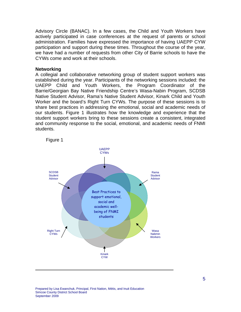Advisory Circle (BANAC). In a few cases, the Child and Youth Workers have actively participated in case conferences at the request of parents or school administration. Families have expressed the importance of having UAEPP CYW participation and support during these times. Throughout the course of the year, we have had a number of requests from other City of Barrie schools to have the CYWs come and work at their schools.

#### **Networking**

A collegial and collaborative networking group of student support workers was established during the year. Participants of the networking sessions included: the UAEPP Child and Youth Workers, the Program Coordinator of the Barrie/Georgian Bay Native Friendship Centre's Wasa-Nabin Program, SCDSB Native Student Advisor, Rama's Native Student Advisor, Kinark Child and Youth Worker and the board's Right Turn CYWs. The purpose of these sessions is to share best practices in addressing the emotional, social and academic needs of our students. Figure 1 illustrates how the knowledge and experience that the student support workers bring to these sessions create a consistent, integrated and community response to the social, emotional, and academic needs of FNMI students.



Prepared by Lisa Ewanchuk, Principal, First Nation, Métis, and Inuit Education Simcoe County District School Board September 2009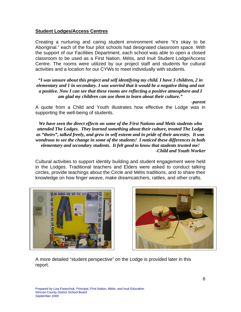#### **Student Lodges/Access Centres**

Creating a nurturing and caring student environment where "it's okay to be Aboriginal." each of the four pilot schools had designated classroom space. With the support of our Facilities Department, each school was able to open a closed classroom to be used as a First Nation, Métis, and Inuit Student Lodge/Access Centre. The rooms were utilized by our project staff and students for cultural activities and a location for our CYWs to meet individually with students.

*"I was unsure about this project and self identifying my child. I have 3 children, 2 in elementary and 1 in secondary. I was worried that it would be a negative thing and not a positive. Now I can see that these rooms are reflecting a positive atmosphere and I am glad my children can use them to learn about their culture."* 

 *-parent*  A quote from a Child and Youth illustrates how effective the Lodge was in supporting the well-being of students.

*We have seen the direct effects on some of the First Nations and Metis students who attended The Lodges. They learned something about their culture, treated The Lodge as "theirs", talked freely, and grew in self esteem and in pride of their ancestry. It was wondrous to see the change in some of the students! I noticed these differences in both elementary and secondary students. It felt good to know that students trusted me! -Child and Youth Worker* 

Cultural activities to support identity building and student engagement were held in the Lodges. Traditional teachers and Elders were asked to conduct talking circles, provide teachings about the Circle and Métis traditions, and to share their knowledge on how finger weave, make dreamcatchers, rattles, and other crafts.





A more detailed "student perspective" on the Lodge is provided later in this report.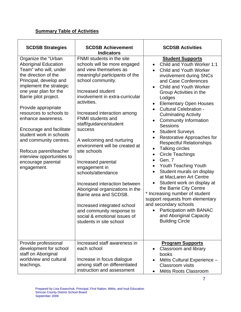## **Summary Table of Activities**

| <b>SCDSB Strategies</b>                                                                                                                                                                                                                                                                                                                                                                                                                                          | <b>SCDSB Achievement</b><br><b>Indicators</b>                                                                                                                                                                                                                                                                                                                                                                                                                                                                                                                                                                                                                                             | <b>SCDSB Activities</b>                                                                                                                                                                                                                                                                                                                                                                                                                                                                                                                                                                                                                                                                                                                                                                                                                                                                                                                                                                             |
|------------------------------------------------------------------------------------------------------------------------------------------------------------------------------------------------------------------------------------------------------------------------------------------------------------------------------------------------------------------------------------------------------------------------------------------------------------------|-------------------------------------------------------------------------------------------------------------------------------------------------------------------------------------------------------------------------------------------------------------------------------------------------------------------------------------------------------------------------------------------------------------------------------------------------------------------------------------------------------------------------------------------------------------------------------------------------------------------------------------------------------------------------------------------|-----------------------------------------------------------------------------------------------------------------------------------------------------------------------------------------------------------------------------------------------------------------------------------------------------------------------------------------------------------------------------------------------------------------------------------------------------------------------------------------------------------------------------------------------------------------------------------------------------------------------------------------------------------------------------------------------------------------------------------------------------------------------------------------------------------------------------------------------------------------------------------------------------------------------------------------------------------------------------------------------------|
| Organize the "Urban<br><b>Aboriginal Education</b><br>Team" who will, under<br>the direction of the<br>Principal, develop and<br>implement the strategic<br>one year plan for the<br>Barrie pilot project.<br>Provide appropriate<br>resources to schools to<br>enhance awareness.<br>Encourage and facilitate<br>student work in schools<br>and community centres.<br>Refocus parent/teacher<br>interview opportunities to<br>encourage parental<br>engagement. | FNMI students in the site<br>schools will be more engaged<br>and view themselves as<br>meaningful participants of the<br>school community.<br>Increased student<br>involvement in extra-curricular<br>activities.<br>Increased interaction among<br><b>FNMI</b> students and<br>staff/guidance/student<br><b>success</b><br>A welcoming and nurturing<br>environment will be created at<br>site schools<br>Increased parental<br>engagement in<br>schools/attendance<br>Increased interaction between<br>Aboriginal organizations in the<br>Barrie area and SCDSB.<br>Increased integrated school<br>and community response to<br>social & emotional issues of<br>students in site school | <b>Student Supports</b><br>Child and Youth Worker 1:1<br>$\bullet$<br><b>Child and Youth Worker</b><br>involvement during SNCs<br>and Case Conferences<br><b>Child and Youth Worker</b><br>$\bullet$<br>Group Activities in the<br>Lodges<br><b>Elementary Open Houses</b><br>$\bullet$<br><b>Cultural Celebration -</b><br>$\bullet$<br><b>Culminating Activity</b><br><b>Community Information</b><br>$\bullet$<br><b>Sessions</b><br><b>Student Surveys</b><br>$\bullet$<br>Restorative Approaches for<br>$\bullet$<br><b>Respectful Relationships</b><br>Talking circles<br>$\bullet$<br><b>Circle Teachings</b><br>$\bullet$<br>Gen. 7<br>Youth Teaching Youth<br>$\bullet$<br>Student murals on display<br>$\bullet$<br>at MacLaren Art Centre<br>Student work on display at<br>the Barrie City Centre<br>* Increasing number of student<br>support requests from elementary<br>and secondary schools<br><b>Participation with BANAC</b><br>and Aboriginal Capacity<br><b>Building Circle</b> |
| Provide professional<br>development for school<br>staff on Aboriginal<br>worldview and cultural<br>teachings.                                                                                                                                                                                                                                                                                                                                                    | Increased staff awareness in<br>each school<br>Increase in focus dialogue<br>among staff on differentiated<br>instruction and assessment                                                                                                                                                                                                                                                                                                                                                                                                                                                                                                                                                  | <b>Program Supports</b><br>Classroom and library<br>$\bullet$<br>books<br>Métis Cultural Experience -<br>$\bullet$<br><b>Classroom</b> visits<br>Métis Roots Classroom                                                                                                                                                                                                                                                                                                                                                                                                                                                                                                                                                                                                                                                                                                                                                                                                                              |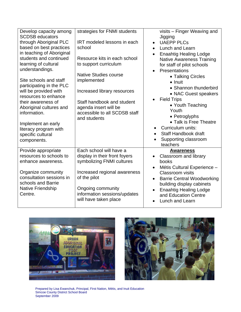| Develop capacity among<br><b>SCDSB educators</b> | strategies for FNMI students       | visits - Finger Weaving and<br>Jigging         |
|--------------------------------------------------|------------------------------------|------------------------------------------------|
| through Aboriginal PLC                           | <b>IRT</b> modeled lessons in each | <b>UAEPP PLCs</b><br>$\bullet$                 |
| based on best practices                          | school                             | Lunch and Learn<br>$\bullet$                   |
| in teaching of Aboriginal                        |                                    | <b>Enaahtig Healing Lodge</b><br>$\bullet$     |
| students and continued                           | Resource kits in each school       | <b>Native Awareness Training</b>               |
| learning of cultural                             | to support curriculum              |                                                |
| understandings.                                  |                                    | for staff of pilot schools                     |
|                                                  | Native Studies course              | Presentations                                  |
| Site schools and staff                           | implemented                        | • Talking Circles                              |
| participating in the PLC                         |                                    | $\bullet$ Inuit                                |
| will be provided with                            |                                    | • Shannon thunderbird                          |
| resources to enhance                             | Increased library resources        | • NAC Guest speakers                           |
| their awareness of                               | Staff handbook and student         | <b>Field Trips</b><br>$\bullet$                |
|                                                  |                                    | • Youth Teaching                               |
| Aboriginal cultures and                          | agenda insert will be              | Youth                                          |
| information.                                     | accessible to all SCDSB staff      | • Petroglyphs                                  |
|                                                  | and students                       | • Talk is Free Theatre                         |
| Implement an early                               |                                    | Curriculum units:<br>$\bullet$                 |
| literacy program with                            |                                    | Staff Handbook draft                           |
| specific cultural                                |                                    |                                                |
| components.                                      |                                    | Supporting classroom                           |
|                                                  |                                    | teachers                                       |
| Provide appropriate                              | Each school will have a            | <b>Awareness</b>                               |
| resources to schools to                          | display in their front foyers      | Classroom and library                          |
| enhance awareness.                               | symbolizing FNMI cultures          | books                                          |
|                                                  |                                    | Métis Cultural Experience -                    |
| Organize community                               | Increased regional awareness       | <b>Classroom</b> visits                        |
| consultation sessions in                         | of the pilot                       | <b>Barrie Central Woodworking</b><br>$\bullet$ |
| schools and Barrie                               |                                    | building display cabinets                      |
| Native Friendship                                | Ongoing community                  | <b>Enaahtig Healing Lodge</b>                  |
| Centre.                                          | information sessions/updates       | and Education Centre                           |
|                                                  | will have taken place              | <b>Lunch and Learn</b><br>$\bullet$            |
|                                                  |                                    |                                                |





Prepared by Lisa Ewanchuk, Principal, First Nation, Métis, and Inuit Education Simcoe County District School Board September 2009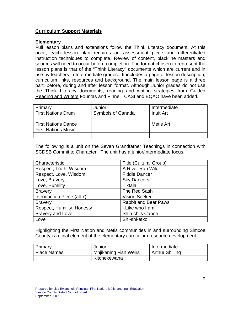#### **Curriculum Support Materials**

#### **Elementary**

Full lesson plans and extensions follow the Think Literacy document. At this point, each lesson plan requires an assessment piece and differentiated instruction techniques to complete. Review of content, blackline masters and sources will need to occur before completion. The format chosen to represent the lesson plans is that of the "Think Literacy" documents which are current and in use by teachers in Intermediate grades. It includes a page of lesson description, curriculum links, resources and background. The main lesson page is a three part, before, during and after lesson format. Although Junior grades do not use the Think Literacy documents, reading and writing strategies from Guided Reading and Writers Fountas and Pinnell, CASI and EQAO have been added.

| Primary                    | Junior                   | Intermediate     |
|----------------------------|--------------------------|------------------|
| <b>First Nations Drum</b>  | <b>Symbols of Canada</b> | <b>Inuit Art</b> |
|                            |                          |                  |
| <b>First Nations Dance</b> |                          | Métis Art        |
| <b>First Nations Music</b> |                          |                  |
|                            |                          |                  |

The following is a unit on the Seven Grandfather Teachings in connection with SCDSB Commit to Character. The unit has a junior/intermediate focus.

| Characteristic             | <b>Title (Cultural Group)</b> |
|----------------------------|-------------------------------|
| Respect, Truth, Wisdom     | A River Ran Wild              |
| Respect, Love, Wisdom      | <b>Fiddle Dancer</b>          |
| Love, Bravery,             | <b>Sky Dancers</b>            |
| Love, Humility             | Tiktala                       |
| <b>Bravery</b>             | The Red Sash                  |
| Introduction Piece (all 7) | <b>Vision Seeker</b>          |
| <b>Bravery</b>             | <b>Rabbit and Bear Paws</b>   |
| Respect, Humility, Honesty | I Like who I am               |
| <b>Bravery and Love</b>    | Shin-chi's Canoe              |
| Love                       | Shi-shi-etko                  |

Highlighting the First Nation and Métis communities in and surrounding Simcoe County is a final element of the elementary curriculum resource development.

| Primary     | Junior                       | Intermediate           |
|-------------|------------------------------|------------------------|
| Place Names | <b>Mnjikaning Fish Weirs</b> | <b>Arthur Shilling</b> |
|             | Kitchekewana                 |                        |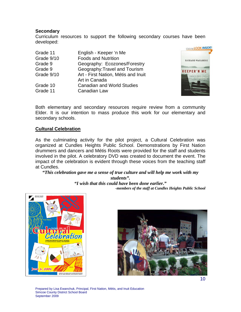#### **Secondary**

Curriculum resources to support the following secondary courses have been developed:

| English - Keeper 'n Me              |
|-------------------------------------|
| <b>Foods and Nutrition</b>          |
| Geography: Ecozones/Forestry        |
| Geography: Travel and Tourism       |
| Art - First Nation, Métis and Inuit |
| Art in Canada                       |
| <b>Canadian and World Studies</b>   |
| Canadian Law                        |
|                                     |



Both elementary and secondary resources require review from a community Elder. It is our intention to mass produce this work for our elementary and secondary schools.

#### **Cultural Celebration**

As the culminating activity for the pilot project, a Cultural Celebration was organized at Cundles Heights Public School. Demonstrations by First Nation drummers and dancers and Métis Roots were provided for the staff and students involved in the pilot. A celebratory DVD was created to document the event. The impact of the celebration is evident through these voices from the teaching staff at Cundles.

*"This celebration gave me a sense of true culture and will help me work with my* 

*students". "I wish that this could have been done earlier." -members of the staff at Cundles Heights Public School* 



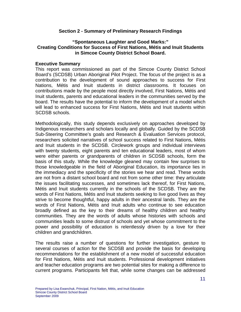#### **Section 2 - Summary of Preliminary Research Findings**

#### **"Spontaneous Laughter and Good Marks:" Creating Conditions for Success of First Nations, Métis and Inuit Students in Simcoe County District School Board.**

#### **Executive Summary**

This report was commissioned as part of the Simcoe County District School Board's (SCDSB) Urban Aboriginal Pilot Project. The focus of the project is as a contribution to the development of sound approaches to success for First Nations, Métis and Inuit students in district classrooms. It focuses on contributions made by the people most directly involved, First Nations, Métis and Inuit students, parents and educational leaders in the communities served by the board. The results have the potential to inform the development of a model which will lead to enhanced success for First Nations, Métis and Inuit students within SCDSB schools.

Methodologically, this study depends exclusively on approaches developed by Indigenous researchers and scholars locally and globally. Guided by the SCDSB Sub-Steering Committee's goals and Research & Evaluation Services protocol, researchers solicited narratives of school success related to First Nations, Métis and Inuit students in the SCDSB. Circlework groups and individual interviews with twenty students, eight parents and ten educational leaders, most of whom were either parents or grandparents of children in SCDSB schools, form the basis of this study. While the knowledge gleaned may contain few surprises to those knowledgeable in the field of Aboriginal Education, its importance lies in the immediacy and the specificity of the stories we hear and read. These words are not from a distant school board and not from some other time: they articulate the issues facilitating successes, and sometimes lack thereof, for First Nations, Métis and Inuit students currently in the schools of the SCDSB. They are the words of First Nations, Métis and Inuit students seeking to live good lives as they strive to become thoughtful, happy adults in their ancestral lands. They are the words of First Nations, Métis and Inuit adults who continue to see education broadly defined as the key to their dreams of healthy children and healthy communities. They are the words of adults whose histories with schools and communities leads to some distrust of schools and yet whose commitment to the power and possibility of education is relentlessly driven by a love for their children and grandchildren.

The results raise a number of questions for further investigation, gesture to several courses of action for the SCDSB and provide the basis for developing recommendations for the establishment of a new model of successful education for First Nations, Métis and Inuit students. Professional development initiatives and teacher education programs are two potential sites for making a difference to current programs. Participants felt that, while some changes can be addressed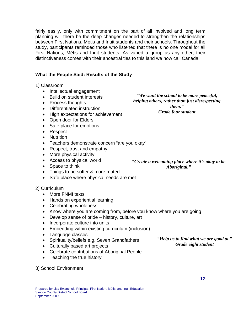fairly easily, only with commitment on the part of all involved and long term planning will there be the deep changes needed to strengthen the relationships between First Nations, Métis and Inuit students and their schools. Throughout the study, participants reminded those who listened that there is no one model for all First Nations, Métis and Inuit students. As varied a group as any other, their distinctiveness comes with their ancestral ties to this land we now call Canada.

#### **What the People Said: Results of the Study**

1) Classroom

- Intellectual engagement
- Build on student interests
- Process thoughts
- Differentiated instruction
- High expectations for achievement
- Open door for Elders
- Safe place for emotions
- Respect
- Nutrition
- Teachers demonstrate concern "are you okay"
- Respect, trust and empathy
- More physical activity
- Access to physical world
- Space to think
- Things to be softer & more muted
- Safe place where physical needs are met

#### 2) Curriculum

- More FNMI texts
- Hands on experiential learning
- Celebrating wholeness
- Know where you are coming from, before you know where you are going
- Develop sense of pride history, culture, art
- Incorporate culture into units
- Embedding within existing curriculum (inclusion)
- Language classes
- Spirituality/beliefs e.g. Seven Grandfathers
- Culturally based art projects
- Celebrate contributions of Aboriginal People
- Teaching the true history

#### 3) School Environment

*"We want the school to be more peaceful, helping others, rather than just disrespecting them." Grade four student* 

*"Create a welcoming place where it's okay to be Aboriginal."* 

> *"Help us to find what we are good at." Grade eight student*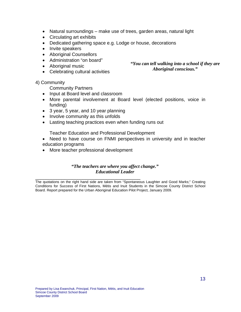- Natural surroundings make use of trees, garden areas, natural light
- Circulating art exhibits
- Dedicated gathering space e.g. Lodge or house, decorations
- Invite speakers
- Aboriginal Counsellors
- Administration "on board"
- Aboriginal music
- Celebrating cultural activities

#### 4) Community

Community Partners

- Input at Board level and classroom
- More parental involvement at Board level (elected positions, voice in funding)
- 3 year, 5 year, and 10 year planning
- Involve community as this unfolds
- Lasting teaching practices even when funding runs out

Teacher Education and Professional Development

- Need to have course on FNMI perspectives in university and in teacher education programs
- More teacher professional development

#### *"The teachers are where you affect change." Educational Leader*

The quotations on the right hand side are taken from "Spontaneous Laughter and Good Marks;" Creating Conditions for Success of First Nations, Métis and Inuit Students in the Simcoe County District School Board. Report prepared for the Urban Aboriginal Education Pilot Project, January 2009.

*"You can tell walking into a school if they are Aboriginal conscious."*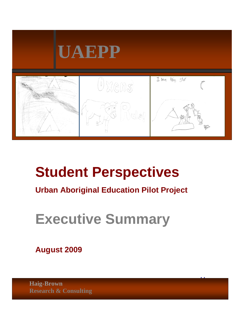

# **Student Perspectives**

# **Urban Aboriginal Education Pilot Project**

14

# **Executive Summary**

**August 2009** 

 $P_{\rm r}$  Constitution,  $P_{\rm r}$   $\sim$   $N_{\rm r}$   $\sim$   $N_{\rm r}$ **Research & Consulting Haig-Brown**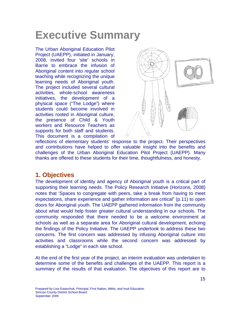# **Executive Summary**

The Urban Aboriginal Education Pilot Project (UAEPP), initiated in January, 2008, invited four 'site' schools in Barrie to embrace the infusion of Aboriginal content into regular school teaching while recognizing the unique learning needs of Aboriginal youth. The project included several cultural activities, whole-school awareness initiatives, the development of a physical space ("The Lodge") where students could become involved in activities rooted in Aboriginal culture, the presence of Child & Youth workers and Resource Teachers as supports for both staff and students. This document is a compilation of



reflections of elementary students' response to the project. Their perspectives and contributions have helped to offer valuable insight into the benefits and challenges of the Urban Aboriginal Education Pilot Project (UAEPP). Many thanks are offered to these students for their time, thoughtfulness, and honesty.

## **1. Objectives**

The development of identity and agency of Aboriginal youth is a critical part of supporting their learning needs. The Policy Research Initiative (Horizons, 2008) notes that 'Spaces to congregate with peers, take a break from having to meet expectations, share experience and gather information are critical" (p.11) to open doors for Aboriginal youth. The UAEPP gathered information from the community about what would help foster greater cultural understanding in our schools. The community responded that there needed to be a welcome environment at schools as well as a separate area for Aboriginal cultural development, echoing the findings of the Policy Initiative. The UAEPP undertook to address these two concerns. The first concern was addressed by infusing Aboriginal culture into activities and classrooms while the second concern was addressed by establishing a "Lodge" in each site school.

At the end of the first year of the project, an interim evaluation was undertaken to determine some of the benefits and challenges of the UAEPP. This report is a summary of the results of that evaluation. The objectives of this report are to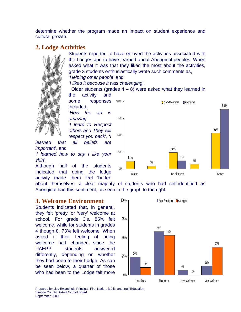determine whether the program made an impact on student experience and cultural growth.

## **2. Lodge Activities**

Students reported to have enjoyed the activities associated with the Lodges and to have learned about Aboriginal peoples. When asked what it was that they liked the most about the activities, grade 3 students enthusiastically wrote such comments as, '*Helping other people*' and

'*I liked it becouse it was chalenging*'.

Older students (grades  $4 - 8$ ) were asked what they learned in the activity and

some responses included, '*How the art is amazing*' '*I leard to Respect others and They will respect you back*', '*I* 

*learned that all beliefs are important*', and '*I learned how to say I like your shirt*'.

Although half of the students indicated that doing the lodge activity made them feel 'better'

11% 4% 24% 7% 53% 12% 88% 0% 25% 50% 75% 100% Worse Better No different and the Better ■ Non-Aboriginal ■ Aboriginal

about themselves, a clear majority of students who had self-identified as Aboriginal had this sentiment, as seen in the graph to the right.

## **3. Welcome Environment**

Students indicated that, in general, they felt 'pretty' or 'very' welcome at school. For grade 3's, 85% felt welcome, while for students in grades 4 though 8, 73% felt welcome. When asked if their feeling of being welcome had changed since the UAEPP, students answered differently, depending on whether they had been to their Lodge. As can be seen below, a quarter of those who had been to the Lodge felt more

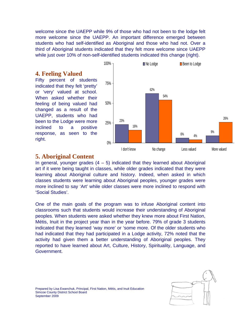welcome since the UAEPP while 9% of those who had not been to the lodge felt more welcome since the UAEPP. An important difference emerged between students who had self-identified as Aboriginal and those who had not. Over a third of Aboriginal students indicated that they felt more welcome since UAEPP while just over 10% of non-self-identified students indicated this change (right).

## **4. Feeling Valued**

Fifty percent of students indicated that they felt 'pretty' or 'very' valued at school. When asked whether their feeling of being valued had changed as a result of the UAEPP, students who had been to the Lodge were more inclined to a positive response, as seen to the right.



### **5. Aboriginal Content**

In general, younger grades  $(4 - 5)$  indicated that they learned about Aboriginal art if it were being taught in classes, while older grades indicated that they were learning about Aboriginal culture and history. Indeed, when asked in which classes students were learning about Aboriginal peoples, younger grades were more inclined to say 'Art' while older classes were more inclined to respond with 'Social Studies'.

One of the main goals of the program was to infuse Aboriginal content into classrooms such that students would increase their understanding of Aboriginal peoples. When students were asked whether they knew more about First Nation, Métis, Inuit in the project year than in the year before. 79% of grade 3 students indicated that they learned 'way more' or 'some more. Of the older students who had indicated that they had participated in a Lodge activity, 72% noted that the activity had given them a better understanding of Aboriginal peoples. They reported to have learned about Art, Culture, History, Spirituality, Language, and Government.

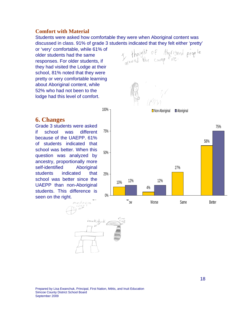#### **Comfort with Material**

Students were asked how comfortable they were when Aboriginal content was discussed in class. 91% of grade 3 students indicated that they felt either 'pretty'

or 'very' comfortable, while 61% of older students had the same responses. For older students, if they had visited the Lodge at their school, 81% noted that they were pretty or very comfortable learning about Aboriginal content, while 52% who had not been to the lodge had this level of comfort.

### **6. Changes**

Grade 3 students were asked if school was different because of the UAEPP. 61% of students indicated that school was better. When this question was analyzed by ancestry, proportionally more self-identified Aboriginal students indicated that school was better since the UAEPP than non-Aboriginal students. This difference is seen on the right.



I don't know Worse Same Same Better

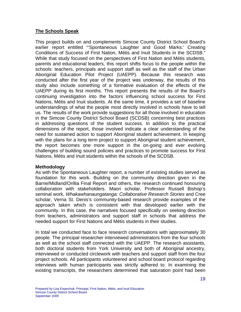#### **The Schools Speak**

This project builds on and complements Simcoe County District School Board's earlier report entitled "'Spontaneous Laughter and Good Marks:' Creating Conditions of Success of First Nation, Métis and Inuit Students in the SCDSB." While that study focused on the perspectives of First Nation and Métis students, parents and educational leaders, this report shifts focus to the people within the schools: teachers, principals and support staff as well as the staff of the Urban Aboriginal Education Pilot Project (UAEPP). Because this research was conducted after the first year of the project was underway, the results of this study also include something of a formative evaluation of the effects of the UAEPP during its first months. This report presents the results of the Board's continuing investigation into the factors influencing school success for First Nations, Métis and Inuit students. At the same time, it provides a set of baseline understandings of what the people most directly involved in schools have to tell us. The results of the work provide suggestions for all those involved in education in the Simcoe County District School Board (SCDSB) concerning best practices in addressing questions of the student success. In addition to the practical dimensions of the report, those involved indicate a clear understanding of the need for sustained action to support Aboriginal student achievement. In keeping with the plans for a long term project to support Aboriginal student achievement, the report becomes one more support in the on-going and ever evolving challenges of building sound policies and practices to promote success for First Nations, Métis and Inuit students within the schools of the SCDSB.

#### **Methodology**

As with the Spontaneous Laughter report, a number of existing studies served as foundation for this work. Building on the community direction given in the Barrie/Midland/Orillia Final Report and others, the research continued honouring collaboration with stakeholders. Maori scholar, Professor Russell Bishop's seminal work, *Whakawhanaungatanga: Collaborative Research Stories* and Cree scholar, Verna St. Denis's community-based research provide examples of the approach taken which is consistent with that developed earlier with the community. In this case, the narratives focused specifically on seeking direction from teachers, administrators and support staff in schools that address the needed support for First Nations and Métis students in their studies.

In total we conducted face to face research conversations with approximately 30 people. The principal researcher interviewed administrators from the four schools as well as the school staff connected with the UAEPP. The research assistants, both doctoral students from York University and both of Aboriginal ancestry, interviewed or conducted circlework with teachers and support staff from the four project schools. All participants volunteered and school board protocol regarding interviews with human participants was strictly adhered to. In examining the existing transcripts, the researchers determined that saturation point had been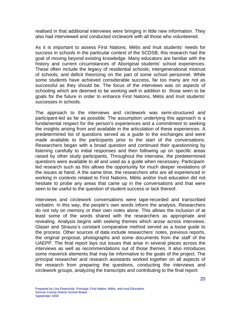realised in that additional interviews were bringing in little new information. They also had interviewed and conducted circlework with all those who volunteered.

As it is important to assess First Nations, Métis and Inuit students' needs for success in schools in the particular context of the SCDSB, this research had the goal of moving beyond existing knowledge. Many educators are familiar with the history and current circumstances of Aboriginal students' school experiences. These often include the legacy of residential schools; intergenerational mistrust of schools; and deficit theorizing on the part of some school personnel. While some students have achieved considerable success, far too many are not as successful as they should be. The focus of the interviews was on aspects of schooling which are deemed to be working well in addition to those seen to be goals for the future in order to enhance First Nations, Métis and Inuit students' successes in schools.

The approach to the interviews and circlework was semi-structured and participant-led as far as possible. The assumption underlying this approach is a fundamental respect for the person's experiences and a commitment to seeking the insights arising from and available in the articulation of these experiences. A predetermined list of questions served as a guide to the exchanges and were made available to the participants prior to the start of the conversations. Researchers began with a broad question and continued their questionning by listening carefully to initial responses and then following up on specific areas raised by other study participants. Throughout the interview, the predetermined questions were available to all and used as a guide when necessary. Participantled research such as this allows the opportunity for much deeper revelations of the issues at hand. A the same time, the researchers who are all experienced in working in contexts related to First Nations, Métis and/or Inuit education did not hesitate to probe any areas that came up in the conversations and that were seen to be useful to the question of student success or lack thereof.

Interviews and circlework conversations were tape-recorded and transcribed verbatim. In this way, the people's own words inform the analysis. Researchers do not rely on memory or their own notes alone. This allows the inclusion of at least some of the words shared with the researchers as appropriate and revealing. Analysis begins with seeking themes which arose across interviews. Glaser and Strauss's constant comparative method served as a loose guide to the process. Other sources of data include researchers' notes, previous reports, the original proposal, photographs and some documents from the staff of the UAEPP. The final report lays out issues that arise in several places across the interviews as well as recommendations out of those themes. It also introduces some maverick elements that may be informative to the goals of the project. The principal researcher and research assistants worked together on all aspects of the research from preparing the questions, conducting the interviews and circlework groups, analyzing the transcripts and contributing to the final report.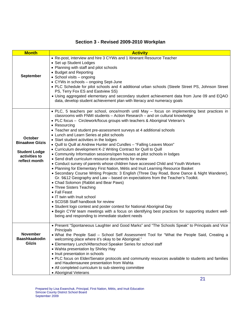| <b>Month</b>                                                                                | <b>Activity</b>                                                                                                                                                                                                                                                                                                                                                                                                                                                                                                                                                                                                                                                                                                                                                                                                                                                                                                                                                                                                                                                                                                                                                                                                                                                                                                                                                                                                                                                                  |
|---------------------------------------------------------------------------------------------|----------------------------------------------------------------------------------------------------------------------------------------------------------------------------------------------------------------------------------------------------------------------------------------------------------------------------------------------------------------------------------------------------------------------------------------------------------------------------------------------------------------------------------------------------------------------------------------------------------------------------------------------------------------------------------------------------------------------------------------------------------------------------------------------------------------------------------------------------------------------------------------------------------------------------------------------------------------------------------------------------------------------------------------------------------------------------------------------------------------------------------------------------------------------------------------------------------------------------------------------------------------------------------------------------------------------------------------------------------------------------------------------------------------------------------------------------------------------------------|
| <b>September</b>                                                                            | • Re-post, interview and hire 3 CYWs and 1 Itinerant Resource Teacher<br>• Set up Student Lodges<br>• Planning with staff and pilot schools<br>• Budget and Reporting<br>• School visits - ongoing<br>• CYWs in schools - ongoing Sept-June<br>• PLC Schedule for pilot schools and 4 additional urban schools (Steele Street PS, Johnson Street<br>PS, Terry Fox ES and Eastview SS)<br>• Using aggregated elementary and secondary student achievement data from June 09 and EQAO<br>data, develop student achievement plan with literacy and numeracy goals                                                                                                                                                                                                                                                                                                                                                                                                                                                                                                                                                                                                                                                                                                                                                                                                                                                                                                                   |
| October<br><b>Binaakwe Giizis</b><br><b>Student Lodge</b><br>activities to<br>reflect month | · PLC, 5 teachers per school, once/month until May - focus on implementing best practices in<br>classrooms with FNMI students - Action Research - and on cultural knowledge<br>• PLC focus - Circlework/focus groups with teachers & Aboriginal Veteran's<br>• Resourcing<br>• Teacher and student pre-assessment surveys at 4 additional schools<br>• Lunch and Learn Series at pilot schools<br>• Start student activities in the lodges<br>• Quill to Quill at Andrew Hunter and Cundles - "Falling Leaves Moon"<br>• Curriculum development K-2 Writing Contract for Quill to Quill<br>• Community Information sessions/open houses at pilot schools in lodges<br>• Send draft curriculum resource documents for review<br>• Conduct survey of parents whose children have accessed Child and Youth Workers<br>• Planning for Elementary First Nation, Métis and Inuit Learning Resource Basket<br>• Secondary Course Writing Projects: 3 English (Three Day Road, Bone Dance & Night Wanderer),<br>Gr. 9&12 Geography and Law - based on expectations from the Teacher's Toolkit.<br>• Chad Solomon (Rabbit and Bear Paws)<br>• Three Sisters Teaching<br>• Fall Feast<br>• IT twin with Inuit school<br>• SCDSB Staff handbook for review<br>• Student logo contest and poster contest for National Aboriginal Day<br>. Begin CYW team meetings with a focus on identifying best practices for supporting student well-<br>being and responding to immediate student needs |
| <b>November</b><br><b>Baashkaakodin</b><br><b>Giizis</b>                                    | • Present "Spontaneous Laughter and Good Marks" and "The Schools Speak" to Principals and Vice<br>Principals<br>. What the People Said - School Self Assessment Tool for "What the People Said, Creating a<br>welcoming place where it's okay to be Aboriginal."<br>• Elementary Lunch/Afterschool Speaker Series for school staff<br>• Wahta presentation by Shirley Hay<br>• Inuit presentation in schools<br>. PLC focus on Elder/Senator protocols and community resources available to students and families<br>and Haudensaunee presentation from Wahta<br>• All completed curriculum to sub-steering committee<br>• Aboriginal Veterans                                                                                                                                                                                                                                                                                                                                                                                                                                                                                                                                                                                                                                                                                                                                                                                                                                   |

## **Section 3 - Revised 2009-2010 Workplan**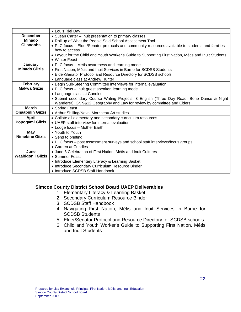|                          | • Louis Riel Day                                                                                     |
|--------------------------|------------------------------------------------------------------------------------------------------|
| <b>December</b>          | • Susan Carter - Inuit presentation to primary classes                                               |
| <b>Minado</b>            | . Roll up of What the People Said School Assessment Tool                                             |
| <b>Giisoonhs</b>         | • PLC focus - Elder/Senator protocols and community resources available to students and families -   |
|                          | how to access                                                                                        |
|                          | • Layout for the Child and Youth Worker's Guide to Supporting First Nation, Métis and Inuit Students |
|                          | • Winter Feast                                                                                       |
| January                  | • PLC focus - Métis awareness and learning model                                                     |
| <b>Minado Giizis</b>     | • First Nation, Métis and Inuit Services in Barrie for SCDSB Students                                |
|                          | • Elder/Senator Protocol and Resource Directory for SCDSB schools                                    |
|                          | • Language class at Andrew Hunter                                                                    |
| February                 | • Begin Sub-Steering Committee interviews for internal evaluation                                    |
| <b>Makwa Giizis</b>      | • PLC focus - Inuit guest speaker, learning model                                                    |
|                          | • Language class at Cundles                                                                          |
|                          | • Submit secondary Course Writing Projects: 3 English (Three Day Road, Bone Dance & Night            |
|                          | Wanderer), Gr. 9&12 Geography and Law for review by committee and Elders                             |
| <b>March</b>             | • Spring Feast                                                                                       |
| <b>Onaabidin Giizis</b>  | • Arthur Shilling/Noval Morriseau Art studies.                                                       |
| April                    | • Collate all elementary and secondary curriculum resources                                          |
| Popogami Giizis          | • UAEP staff interview for internal evaluation                                                       |
|                          | • Lodge focus - Mother Earth                                                                         |
| May                      | • Youth to Youth                                                                                     |
| <b>Nimebine Giizis</b>   | • Send to printing                                                                                   |
|                          | • PLC focus – post assessment surveys and school staff interviews/focus groups                       |
|                          | • Garden at Cundles                                                                                  |
| June                     | • June 8 Celebration of First Nation, Métis and Inuit Cultures                                       |
| <b>Waabigonii Giizis</b> | • Summer Feast                                                                                       |
|                          | • Introduce Elementary Literacy & Learning Basket                                                    |
|                          | • Introduce Secondary Curriculum Resource Binder                                                     |
|                          | • Introduce SCDSB Staff Handbook                                                                     |

#### **Simcoe County District School Board UAEP Deliverables**

- 1. Elementary Literacy & Learning Basket
- 2. Secondary Curriculum Resource Binder
- 3. SCDSB Staff Handbook
- 4. Navigating First Nation, Métis and Inuit Services in Barrie for SCDSB Students
- 5. Elder/Senator Protocol and Resource Directory for SCDSB schools
- 6. Child and Youth Worker's Guide to Supporting First Nation, Métis and Inuit Students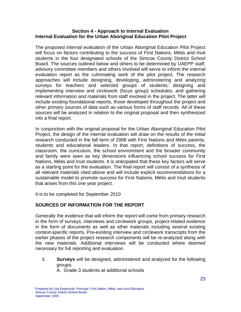#### **Section 4 - Approach to Internal Evaluation Internal Evaluation for the Urban Aboriginal Education Pilot Project**

The proposed internal evaluation of the Urban Aboriginal Education Pilot Project will focus on factors contributing to the success of First Nations, Métis and Inuit students in the four designated schools of the Simcoe County District School Board. The sources outlined below and others to be determined by UAEPP staff, advisory committee members and others involved will serve to inform the internal evaluation report as the culminating work of the pilot project. The research approaches will include designing, developing, administering and analyzing surveys for teachers and selected groups of students; designing and implementing interview and circlework (focus group) schedules; and gathering relevant information and materials from staff involved in the project. The latter will include existing foundational reports, those developed throughout the project and other primary sources of data such as various forms of staff records. All of these sources will be analyzed in relation to the original proposal and then synthesized into a final report.

In conjunction with the original proposal for the Urban Aboriginal Education Pilot Project, the design of the internal evaluation will draw on the results of the initial research conducted in the fall term of 2008 with First Nations and Métis parents, students and educational leaders. In that report, definitions of success, the classroom, the curriculum, the school environment and the broader community and family were seen as key dimensions influencing school success for First Nations, Métis and Inuit students. It is anticipated that these key factors will serve as a starting point for the evaluation. The final report will consist of a synthesis of all relevant materials cited above and will include explicit recommendations for a sustainable model to promote success for First Nations, Métis and Inuit students that arises from this one year project.

It is to be completed for September 2010

#### **SOURCES OF INFORMATION FOR THE REPORT**

Generally the evidence that will inform the report will come from primary research in the form of surveys, interviews and circlework groups, project-related evidence in the form of documents as well as other materials including several existing context-specific reports. Pre-existing interview and circlework transcripts from the earlier phases of the project research components will be re-analyzed along with the new materials. Additional interviews will be conducted where deemed necessary for full reporting and evaluation.

**I. Surveys** will be designed, administered and analyzed for the following groups: A. Grade 3 students at additional schools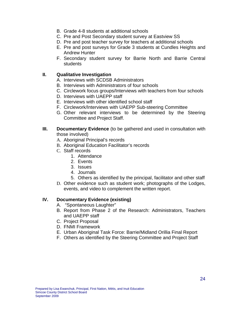- B. Grade 4-8 students at additional schools
- C. Pre and Post Secondary student survey at Eastview SS
- D. Pre and post teacher survey for teachers at additional schools
- E. Pre and post surveys for Grade 3 students at Cundles Heights and Andrew Hunter
- F. Secondary student survey for Barrie North and Barrie Central students

#### **II. Qualitative Investigation**

- A. Interviews with SCDSB Administrators
- B. Interviews with Administrators of four schools
- C. Circlework focus groups/Interviews with teachers from four schools
- D. Interviews with UAEPP staff
- E. Interviews with other identified school staff
- F. Circlework/Interviews with UAEPP Sub-steering Committee
- G. Other relevant interviews to be determined by the Steering Committee and Project Staff.
- **III.** Documentary Evidence (to be gathered and used in consultation with those involved)
	- A. Aboriginal Principal's records
	- B. Aboriginal Education Facilitator's records
	- C. Staff records
		- 1. Attendance
		- 2. Events
		- 3. Issues
		- 4. Journals
		- 5. Others as identified by the principal, facilitator and other staff
	- D. Other evidence such as student work; photographs of the Lodges, events, and video to complement the written report.

#### **IV. Documentary Evidence (existing)**

- A. "Spontaneous Laughter"
- B. Report from Phase 2 of the Research: Administrators, Teachers and UAEPP staff
- C. Project Proposal
- D. FNMI Framework
- E. Urban Aboriginal Task Force: Barrie/Midland Orillia Final Report
- F. Others as identified by the Steering Committee and Project Staff